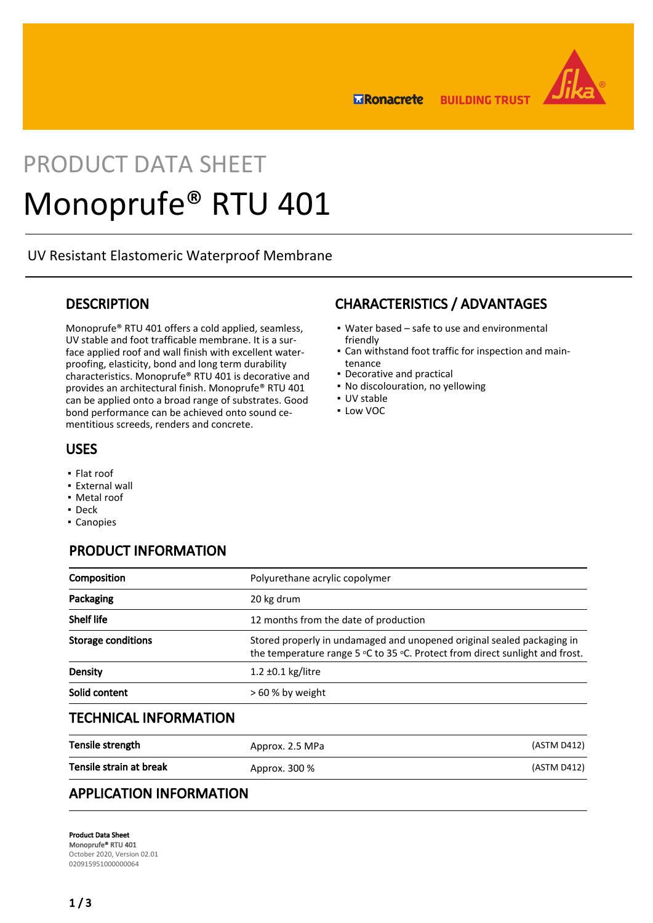

**ERonacrete BUILDING TRUST** 

# PRODUCT DATA SHEET Monoprufe® RTU 401

UV Resistant Elastomeric Waterproof Membrane

## **DESCRIPTION**

Monoprufe® RTU 401 offers a cold applied, seamless, UV stable and foot trafficable membrane. It is a surface applied roof and wall finish with excellent waterproofing, elasticity, bond and long term durability characteristics. Monoprufe® RTU 401 is decorative and provides an architectural finish. Monoprufe® RTU 401 can be applied onto a broad range of substrates. Good bond performance can be achieved onto sound cementitious screeds, renders and concrete.

# USES

- Flat roof
- **External wall**
- Metal roof
- Deck
- Canopies

# PRODUCT INFORMATION

| Composition                  | Polyurethane acrylic copolymer                                                                                                                         |             |
|------------------------------|--------------------------------------------------------------------------------------------------------------------------------------------------------|-------------|
| Packaging                    | 20 kg drum                                                                                                                                             |             |
| <b>Shelf life</b>            | 12 months from the date of production                                                                                                                  |             |
| <b>Storage conditions</b>    | Stored properly in undamaged and unopened original sealed packaging in<br>the temperature range 5 °C to 35 °C. Protect from direct sunlight and frost. |             |
| Density                      | $1.2 \pm 0.1$ kg/litre                                                                                                                                 |             |
| Solid content                | > 60 % by weight                                                                                                                                       |             |
| <b>TECHNICAL INFORMATION</b> |                                                                                                                                                        |             |
| Tensile strength             | Approx. 2.5 MPa                                                                                                                                        | (ASTM D412) |

| Tensile strain at break | Approx. 300 % | (ASTM D412) |
|-------------------------|---------------|-------------|
|                         |               |             |

# APPLICATION INFORMATION

Product Data Sheet Monoprufe® RTU 401 October 2020, Version 02.01 020915951000000064

# CHARACTERISTICS / ADVANTAGES

- Water based safe to use and environmental friendly
- Can withstand foot traffic for inspection and main-▪ tenance
- Decorative and practical
- No discolouration, no yellowing
- UV stable
- Low VOC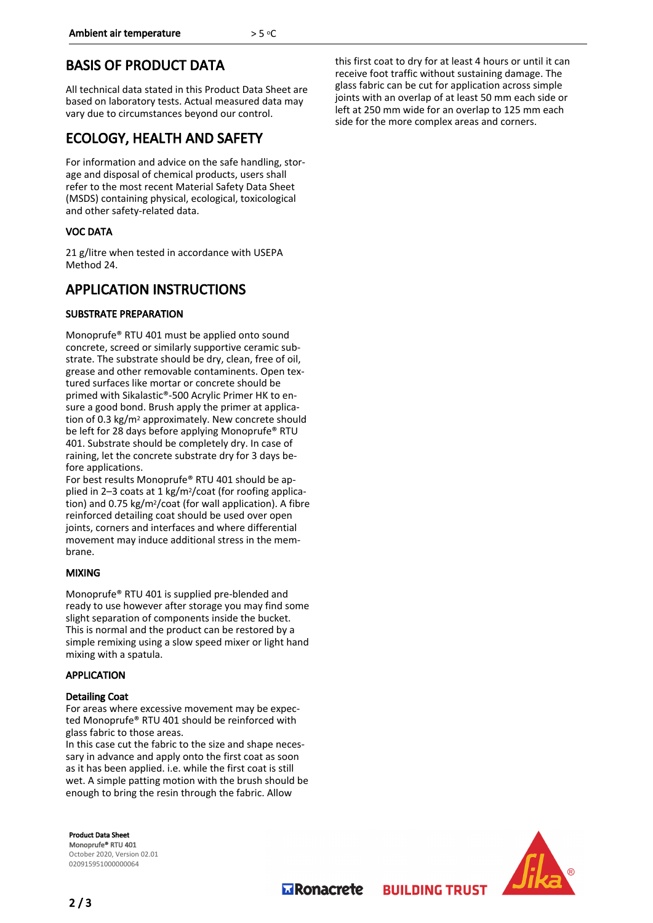# BASIS OF PRODUCT DATA

All technical data stated in this Product Data Sheet are based on laboratory tests. Actual measured data may vary due to circumstances beyond our control.

## ECOLOGY, HEALTH AND SAFETY

For information and advice on the safe handling, storage and disposal of chemical products, users shall refer to the most recent Material Safety Data Sheet (MSDS) containing physical, ecological, toxicological and other safety-related data.

## VOC DATA

21 g/litre when tested in accordance with USEPA Method 24.

## APPLICATION INSTRUCTIONS

## SUBSTRATE PREPARATION

Monoprufe® RTU 401 must be applied onto sound concrete, screed or similarly supportive ceramic substrate. The substrate should be dry, clean, free of oil, grease and other removable contaminents. Open textured surfaces like mortar or concrete should be primed with Sikalastic®-500 Acrylic Primer HK to ensure a good bond. Brush apply the primer at application of 0.3 kg/m2 approximately. New concrete should be left for 28 days before applying Monoprufe® RTU 401. Substrate should be completely dry. In case of raining, let the concrete substrate dry for 3 days before applications.

For best results Monoprufe® RTU 401 should be applied in 2–3 coats at 1 kg/m2/coat (for roofing application) and 0.75 kg/m2/coat (for wall application). A fibre reinforced detailing coat should be used over open joints, corners and interfaces and where differential movement may induce additional stress in the membrane.

## MIXING

Monoprufe® RTU 401 is supplied pre-blended and ready to use however after storage you may find some slight separation of components inside the bucket. This is normal and the product can be restored by a simple remixing using a slow speed mixer or light hand mixing with a spatula.

## APPLICATION

## Detailing Coat

For areas where excessive movement may be expected Monoprufe® RTU 401 should be reinforced with glass fabric to those areas.

In this case cut the fabric to the size and shape necessary in advance and apply onto the first coat as soon as it has been applied. i.e. while the first coat is still wet. A simple patting motion with the brush should be enough to bring the resin through the fabric. Allow

Product Data Sheet Monoprufe® RTU 401 October 2020, Version 02.01 020915951000000064

this first coat to dry for at least 4 hours or until it can receive foot traffic without sustaining damage. The glass fabric can be cut for application across simple joints with an overlap of at least 50 mm each side or left at 250 mm wide for an overlap to 125 mm each side for the more complex areas and corners.



**MRonacrete** 

**BUILDING TRUST**